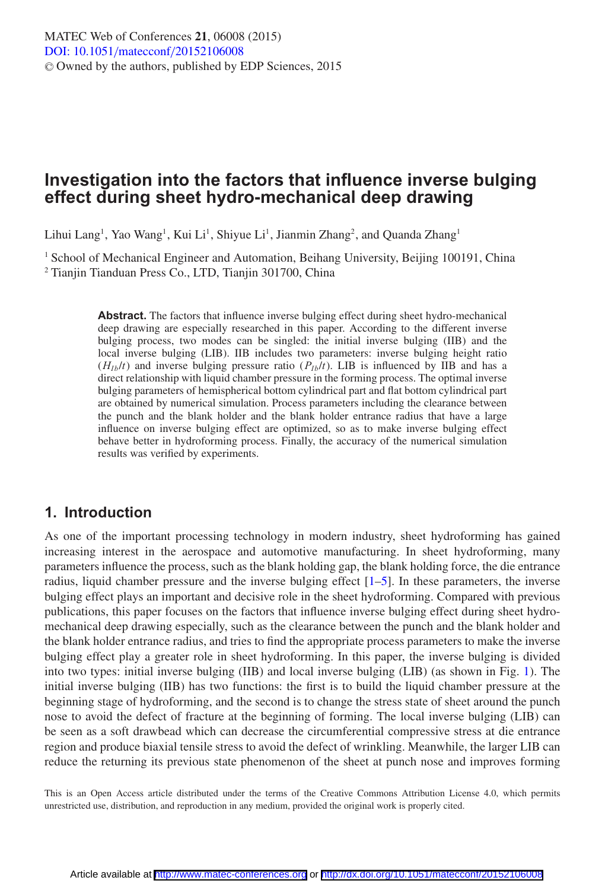# **Investigation into the factors that influence inverse bulging effect during sheet hydro-mechanical deep drawing**

Lihui Lang<sup>1</sup>, Yao Wang<sup>1</sup>, Kui Li<sup>1</sup>, Shiyue Li<sup>1</sup>, Jianmin Zhang<sup>2</sup>, and Quanda Zhang<sup>1</sup>

<sup>1</sup> School of Mechanical Engineer and Automation, Beihang University, Beijing 100191, China <sup>2</sup> Tianjin Tianduan Press Co., LTD, Tianjin 301700, China

> **Abstract.** The factors that influence inverse bulging effect during sheet hydro-mechanical deep drawing are especially researched in this paper. According to the different inverse bulging process, two modes can be singled: the initial inverse bulging (IIB) and the local inverse bulging (LIB). IIB includes two parameters: inverse bulging height ratio  $(H<sub>Ib</sub>/t)$  and inverse bulging pressure ratio  $(P<sub>Ib</sub>/t)$ . LIB is influenced by IIB and has a direct relationship with liquid chamber pressure in the forming process. The optimal inverse bulging parameters of hemispherical bottom cylindrical part and flat bottom cylindrical part are obtained by numerical simulation. Process parameters including the clearance between the punch and the blank holder and the blank holder entrance radius that have a large influence on inverse bulging effect are optimized, so as to make inverse bulging effect behave better in hydroforming process. Finally, the accuracy of the numerical simulation results was verified by experiments.

### **1. Introduction**

As one of the important processing technology in modern industry, sheet hydroforming has gained increasing interest in the aerospace and automotive manufacturing. In sheet hydroforming, many parameters influence the process, such as the blank holding gap, the blank holding force, the die entrance radius, liquid chamber pressure and the inverse bulging effect [\[1](#page-6-0)[–5\]](#page-6-1). In these parameters, the inverse bulging effect plays an important and decisive role in the sheet hydroforming. Compared with previous publications, this paper focuses on the factors that influence inverse bulging effect during sheet hydromechanical deep drawing especially, such as the clearance between the punch and the blank holder and the blank holder entrance radius, and tries to find the appropriate process parameters to make the inverse bulging effect play a greater role in sheet hydroforming. In this paper, the inverse bulging is divided into two types: initial inverse bulging (IIB) and local inverse bulging (LIB) (as shown in Fig. [1\)](#page-1-0). The initial inverse bulging (IIB) has two functions: the first is to build the liquid chamber pressure at the beginning stage of hydroforming, and the second is to change the stress state of sheet around the punch nose to avoid the defect of fracture at the beginning of forming. The local inverse bulging (LIB) can be seen as a soft drawbead which can decrease the circumferential compressive stress at die entrance region and produce biaxial tensile stress to avoid the defect of wrinkling. Meanwhile, the larger LIB can reduce the returning its previous state phenomenon of the sheet at punch nose and improves forming

This is an Open Access article distributed under the terms of the Creative Commons Attribution License 4.0, which permits unrestricted use, distribution, and reproduction in any medium, provided the original work is properly cited.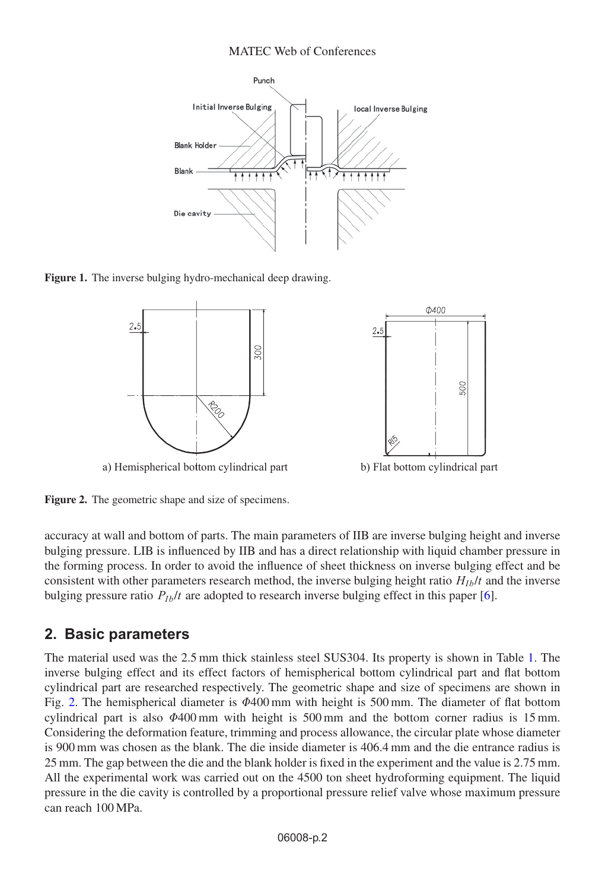#### MATEC Web of Conferences

<span id="page-1-0"></span>

<span id="page-1-1"></span>**Figure 1.** The inverse bulging hydro-mechanical deep drawing.



**Figure 2.** The geometric shape and size of specimens.

accuracy at wall and bottom of parts. The main parameters of IIB are inverse bulging height and inverse bulging pressure. LIB is influenced by IIB and has a direct relationship with liquid chamber pressure in the forming process. In order to avoid the influence of sheet thickness on inverse bulging effect and be consistent with other parameters research method, the inverse bulging height ratio  $H_{1b}/t$  and the inverse bulging pressure ratio  $P_{Ib}/t$  are adopted to research inverse bulging effect in this paper [\[6\]](#page-6-2).

## **2. Basic parameters**

The material used was the 2.5 mm thick stainless steel SUS304. Its property is shown in Table [1.](#page-2-0) The inverse bulging effect and its effect factors of hemispherical bottom cylindrical part and flat bottom cylindrical part are researched respectively. The geometric shape and size of specimens are shown in Fig. [2.](#page-1-1) The hemispherical diameter is  $\Phi$ 400 mm with height is 500 mm. The diameter of flat bottom cylindrical part is also  $\Phi$ 400 mm with height is 500 mm and the bottom corner radius is 15 mm. Considering the deformation feature, trimming and process allowance, the circular plate whose diameter is 900 mm was chosen as the blank. The die inside diameter is 406.4 mm and the die entrance radius is 25 mm. The gap between the die and the blank holder is fixed in the experiment and the value is 2.75 mm. All the experimental work was carried out on the 4500 ton sheet hydroforming equipment. The liquid pressure in the die cavity is controlled by a proportional pressure relief valve whose maximum pressure can reach 100 MPa.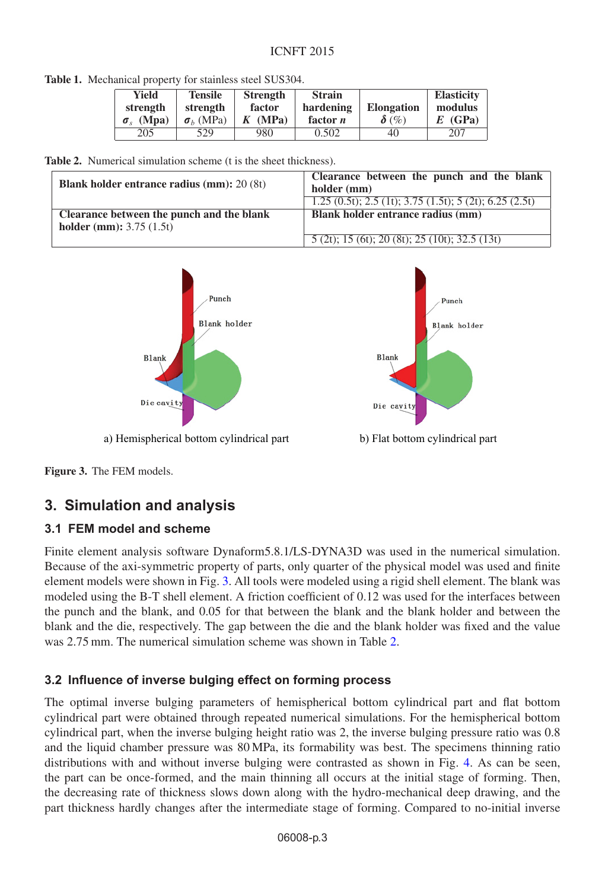<span id="page-2-0"></span>

| Table 1. Mechanical property for stainless steel SUS304. |  |  |
|----------------------------------------------------------|--|--|
|----------------------------------------------------------|--|--|

| Yield            | <b>Tensile</b>   | <b>Strength</b> | <b>Strain</b>   |                   | <b>Elasticity</b> |
|------------------|------------------|-----------------|-----------------|-------------------|-------------------|
| strength         | strength         | factor          | hardening       | <b>Elongation</b> | modulus           |
| $\sigma$ . (Mpa) | $\sigma_b$ (MPa) | (MPa)           | factor <i>n</i> | $\delta$ (%)      | $E$ (GPa)         |
| 205              | 529              | 980             | 0.502           | 40                | 207               |

<span id="page-2-2"></span>

| <b>Table 2.</b> Numerical simulation scheme (t is the sheet thickness). |  |
|-------------------------------------------------------------------------|--|
|-------------------------------------------------------------------------|--|

<span id="page-2-1"></span>

| <b>Blank holder entrance radius (mm): 20 (8t)</b> | Clearance between the punch and the blank<br>holder (mm) |
|---------------------------------------------------|----------------------------------------------------------|
|                                                   | 1.25 (0.5t); 2.5 (1t); 3.75 (1.5t); 5 (2t); 6.25 (2.5t)  |
| Clearance between the punch and the blank         | Blank holder entrance radius (mm)                        |
| <b>holder</b> (mm): $3.75(1.5t)$                  |                                                          |
|                                                   | 5 (2t); 15 (6t); 20 (8t); 25 (10t); 32.5 (13t)           |



**Figure 3.** The FEM models.

# **3. Simulation and analysis**

### **3.1 FEM model and scheme**

Finite element analysis software Dynaform5.8.1/LS-DYNA3D was used in the numerical simulation. Because of the axi-symmetric property of parts, only quarter of the physical model was used and finite element models were shown in Fig. [3.](#page-2-1) All tools were modeled using a rigid shell element. The blank was modeled using the B-T shell element. A friction coefficient of 0.12 was used for the interfaces between the punch and the blank, and 0.05 for that between the blank and the blank holder and between the blank and the die, respectively. The gap between the die and the blank holder was fixed and the value was 2.75 mm. The numerical simulation scheme was shown in Table [2.](#page-2-2)

### **3.2 Influence of inverse bulging effect on forming process**

The optimal inverse bulging parameters of hemispherical bottom cylindrical part and flat bottom cylindrical part were obtained through repeated numerical simulations. For the hemispherical bottom cylindrical part, when the inverse bulging height ratio was 2, the inverse bulging pressure ratio was 0.8 and the liquid chamber pressure was 80 MPa, its formability was best. The specimens thinning ratio distributions with and without inverse bulging were contrasted as shown in Fig. [4.](#page-3-0) As can be seen, the part can be once-formed, and the main thinning all occurs at the initial stage of forming. Then, the decreasing rate of thickness slows down along with the hydro-mechanical deep drawing, and the part thickness hardly changes after the intermediate stage of forming. Compared to no-initial inverse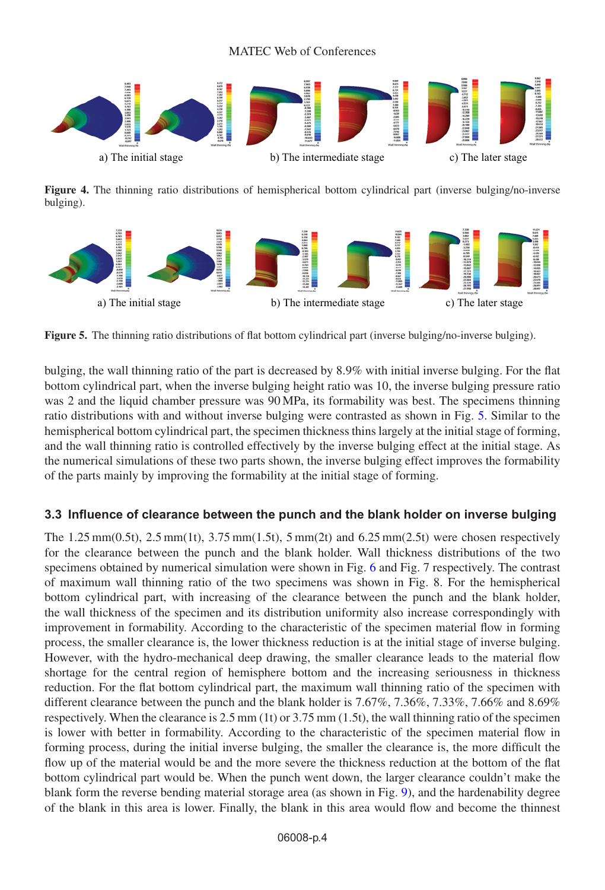### MATEC Web of Conferences

<span id="page-3-0"></span>

**Figure 4.** The thinning ratio distributions of hemispherical bottom cylindrical part (inverse bulging/no-inverse bulging).

<span id="page-3-1"></span>

**Figure 5.** The thinning ratio distributions of flat bottom cylindrical part (inverse bulging/no-inverse bulging).

bulging, the wall thinning ratio of the part is decreased by 8.9% with initial inverse bulging. For the flat bottom cylindrical part, when the inverse bulging height ratio was 10, the inverse bulging pressure ratio was 2 and the liquid chamber pressure was 90 MPa, its formability was best. The specimens thinning ratio distributions with and without inverse bulging were contrasted as shown in Fig. [5.](#page-3-1) Similar to the hemispherical bottom cylindrical part, the specimen thickness thins largely at the initial stage of forming, and the wall thinning ratio is controlled effectively by the inverse bulging effect at the initial stage. As the numerical simulations of these two parts shown, the inverse bulging effect improves the formability of the parts mainly by improving the formability at the initial stage of forming.

### **3.3 Influence of clearance between the punch and the blank holder on inverse bulging**

The 1.25 mm(0.5t), 2.5 mm(1t), 3.75 mm(1.5t), 5 mm(2t) and 6.25 mm(2.5t) were chosen respectively for the clearance between the punch and the blank holder. Wall thickness distributions of the two specimens obtained by numerical simulation were shown in Fig. [6](#page-4-0) and Fig. 7 respectively. The contrast of maximum wall thinning ratio of the two specimens was shown in Fig. 8. For the hemispherical bottom cylindrical part, with increasing of the clearance between the punch and the blank holder, the wall thickness of the specimen and its distribution uniformity also increase correspondingly with improvement in formability. According to the characteristic of the specimen material flow in forming process, the smaller clearance is, the lower thickness reduction is at the initial stage of inverse bulging. However, with the hydro-mechanical deep drawing, the smaller clearance leads to the material flow shortage for the central region of hemisphere bottom and the increasing seriousness in thickness reduction. For the flat bottom cylindrical part, the maximum wall thinning ratio of the specimen with different clearance between the punch and the blank holder is 7.67%, 7.36%, 7.33%, 7.66% and 8.69% respectively. When the clearance is 2.5 mm (1t) or 3.75 mm (1.5t), the wall thinning ratio of the specimen is lower with better in formability. According to the characteristic of the specimen material flow in forming process, during the initial inverse bulging, the smaller the clearance is, the more difficult the flow up of the material would be and the more severe the thickness reduction at the bottom of the flat bottom cylindrical part would be. When the punch went down, the larger clearance couldn't make the blank form the reverse bending material storage area (as shown in Fig. [9\)](#page-4-1), and the hardenability degree of the blank in this area is lower. Finally, the blank in this area would flow and become the thinnest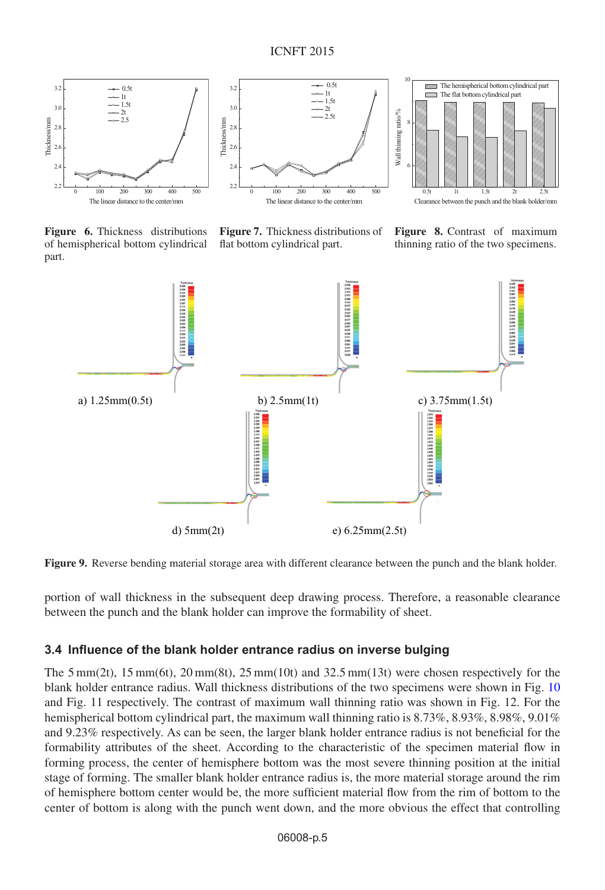<span id="page-4-0"></span>





<span id="page-4-1"></span>**Figure 6.** Thickness distributions of hemispherical bottom cylindrical part.

**Figure 7.** Thickness distributions of flat bottom cylindrical part.

**Figure 8.** Contrast of maximum thinning ratio of the two specimens.



**Figure 9.** Reverse bending material storage area with different clearance between the punch and the blank holder.

portion of wall thickness in the subsequent deep drawing process. Therefore, a reasonable clearance between the punch and the blank holder can improve the formability of sheet.

### **3.4 Influence of the blank holder entrance radius on inverse bulging**

The  $5 \text{ mm}(2t)$ ,  $15 \text{ mm}(6t)$ ,  $20 \text{ mm}(8t)$ ,  $25 \text{ mm}(10t)$  and  $32.5 \text{ mm}(13t)$  were chosen respectively for the blank holder entrance radius. Wall thickness distributions of the two specimens were shown in Fig. [10](#page-5-0) and Fig. 11 respectively. The contrast of maximum wall thinning ratio was shown in Fig. 12. For the hemispherical bottom cylindrical part, the maximum wall thinning ratio is 8.73%, 8.93%, 8.98%, 9.01% and 9.23% respectively. As can be seen, the larger blank holder entrance radius is not beneficial for the formability attributes of the sheet. According to the characteristic of the specimen material flow in forming process, the center of hemisphere bottom was the most severe thinning position at the initial stage of forming. The smaller blank holder entrance radius is, the more material storage around the rim of hemisphere bottom center would be, the more sufficient material flow from the rim of bottom to the center of bottom is along with the punch went down, and the more obvious the effect that controlling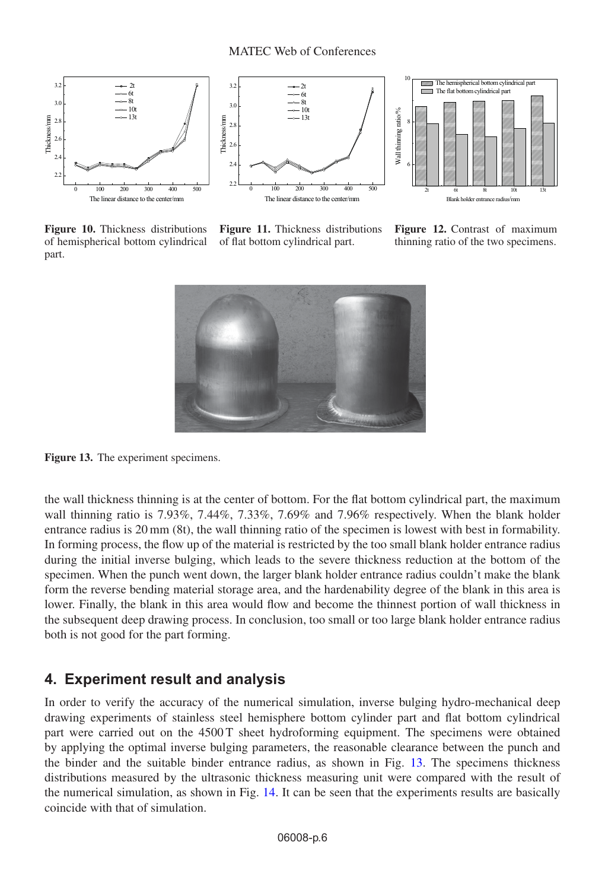#### MATEC Web of Conferences

<span id="page-5-0"></span>





<span id="page-5-1"></span>**Figure 10.** Thickness distributions of hemispherical bottom cylindrical part.

**Figure 11.** Thickness distributions of flat bottom cylindrical part.

**Figure 12.** Contrast of maximum thinning ratio of the two specimens.



**Figure 13.** The experiment specimens.

the wall thickness thinning is at the center of bottom. For the flat bottom cylindrical part, the maximum wall thinning ratio is 7.93%, 7.44%, 7.33%, 7.69% and 7.96% respectively. When the blank holder entrance radius is 20 mm (8t), the wall thinning ratio of the specimen is lowest with best in formability. In forming process, the flow up of the material is restricted by the too small blank holder entrance radius during the initial inverse bulging, which leads to the severe thickness reduction at the bottom of the specimen. When the punch went down, the larger blank holder entrance radius couldn't make the blank form the reverse bending material storage area, and the hardenability degree of the blank in this area is lower. Finally, the blank in this area would flow and become the thinnest portion of wall thickness in the subsequent deep drawing process. In conclusion, too small or too large blank holder entrance radius both is not good for the part forming.

# **4. Experiment result and analysis**

In order to verify the accuracy of the numerical simulation, inverse bulging hydro-mechanical deep drawing experiments of stainless steel hemisphere bottom cylinder part and flat bottom cylindrical part were carried out on the 4500 T sheet hydroforming equipment. The specimens were obtained by applying the optimal inverse bulging parameters, the reasonable clearance between the punch and the binder and the suitable binder entrance radius, as shown in Fig. [13.](#page-5-1) The specimens thickness distributions measured by the ultrasonic thickness measuring unit were compared with the result of the numerical simulation, as shown in Fig. [14.](#page-6-3) It can be seen that the experiments results are basically coincide with that of simulation.